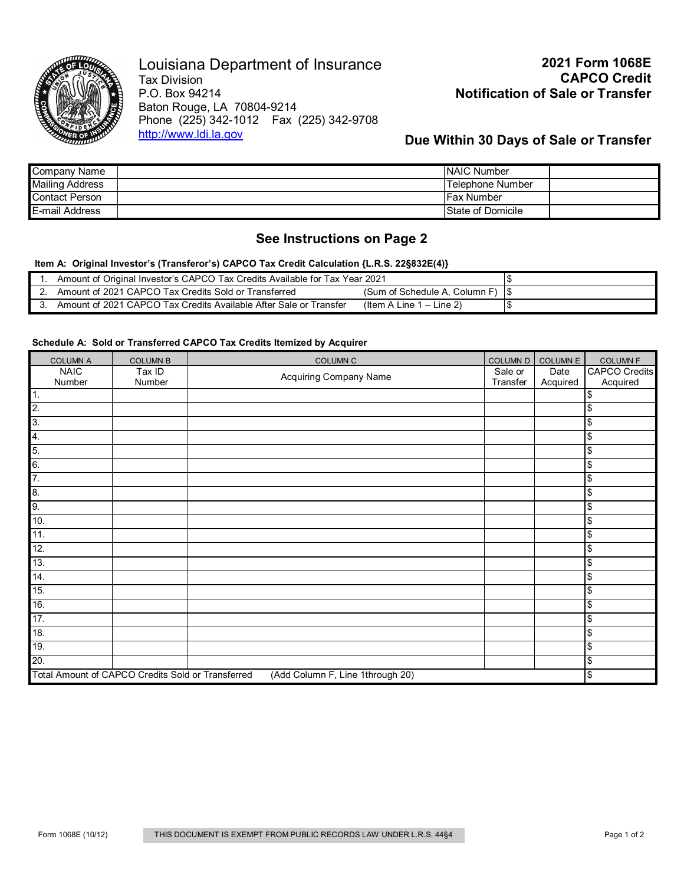

Louisiana Department of Insurance Tax Division P.O. Box 94214 Baton Rouge, LA 70804-9214 Phone (225) 342-1012 Fax (225) 342-9708 [http://www.ldi.la.gov](http://www.ldi.la.gov/)

## **Due Within 30 Days of Sale or Transfer**

| Company Name           | <b>INAIC Number</b> |  |
|------------------------|---------------------|--|
| <b>Mailing Address</b> | Telephone Number    |  |
| Contact Person         | l Fax Number        |  |
| E-mail Address         | State of Domicile   |  |

## **See Instructions on Page 2**

## **Item A: Original Investor's (Transferor's) CAPCO Tax Credit Calculation {L.R.S. 22§832E(4)}**

| Amount of Original Investor's CAPCO Tax Credits Available for Tax Year 2021 |                                   |  |
|-----------------------------------------------------------------------------|-----------------------------------|--|
| Amount of 2021 CAPCO Tax Credits Sold or Transferred                        | (Sum of Schedule A, Column F) 1\$ |  |
| Amount of 2021 CAPCO Tax Credits Available After Sale or Transfer           | (Item A Line $1 -$ Line 2)        |  |

## **Schedule A: Sold or Transferred CAPCO Tax Credits Itemized by Acquirer**

| <b>COLUMN A</b>                                                                       | <b>COLUMN B</b> | <b>COLUMN C</b>               | <b>COLUMN D</b> | <b>COLUMN E</b> | <b>COLUMN F</b>      |
|---------------------------------------------------------------------------------------|-----------------|-------------------------------|-----------------|-----------------|----------------------|
| <b>NAIC</b>                                                                           | Tax ID          | <b>Acquiring Company Name</b> | Sale or         | Date            | <b>CAPCO Credits</b> |
| Number                                                                                | Number          |                               | Transfer        | Acquired        | Acquired             |
| 1.                                                                                    |                 |                               |                 |                 | $\sqrt[6]{3}$        |
| 2.                                                                                    |                 |                               |                 |                 | \$                   |
| 3.                                                                                    |                 |                               |                 |                 | \$                   |
| 4.                                                                                    |                 |                               |                 |                 | \$                   |
| 5.                                                                                    |                 |                               |                 |                 | \$                   |
| 6.                                                                                    |                 |                               |                 |                 | \$                   |
| 7.                                                                                    |                 |                               |                 |                 | \$                   |
| 8.                                                                                    |                 |                               |                 |                 | \$                   |
| 9.                                                                                    |                 |                               |                 |                 | \$                   |
| 10.                                                                                   |                 |                               |                 |                 | \$                   |
| 11.                                                                                   |                 |                               |                 |                 | \$                   |
| 12.                                                                                   |                 |                               |                 |                 | \$                   |
| 13.                                                                                   |                 |                               |                 |                 | \$                   |
| 14.                                                                                   |                 |                               |                 |                 | \$                   |
| 15.                                                                                   |                 |                               |                 |                 | \$                   |
| 16.                                                                                   |                 |                               |                 |                 | \$                   |
| 17.                                                                                   |                 |                               |                 |                 | \$                   |
| 18.                                                                                   |                 |                               |                 |                 | \$                   |
| 19.                                                                                   |                 |                               |                 |                 | \$                   |
| $\overline{20}$ .                                                                     |                 |                               |                 |                 | \$                   |
| Total Amount of CAPCO Credits Sold or Transferred<br>(Add Column F, Line 1through 20) |                 |                               |                 | $\$\$           |                      |